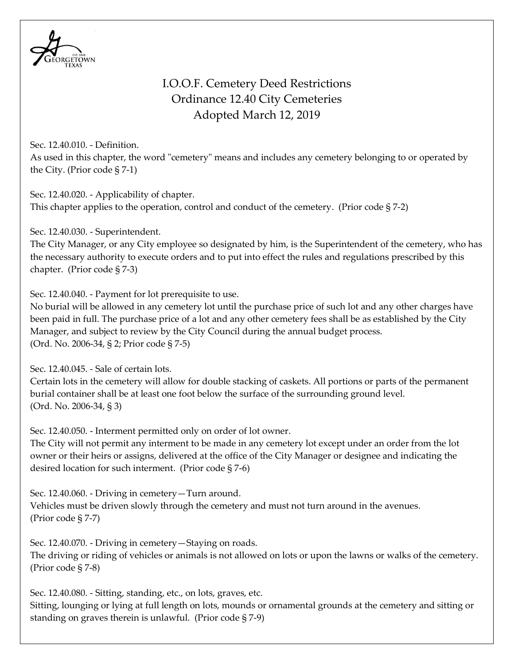

## I.O.O.F. Cemetery Deed Restrictions Ordinance 12.40 City Cemeteries Adopted March 12, 2019

Sec. 12.40.010. - Definition. As used in this chapter, the word "cemetery" means and includes any cemetery belonging to or operated by the City. (Prior code § 7-1)

Sec. 12.40.020. - Applicability of chapter. This chapter applies to the operation, control and conduct of the cemetery. (Prior code § 7-2)

Sec. 12.40.030. - Superintendent.

The City Manager, or any City employee so designated by him, is the Superintendent of the cemetery, who has the necessary authority to execute orders and to put into effect the rules and regulations prescribed by this chapter. (Prior code § 7-3)

Sec. 12.40.040. - Payment for lot prerequisite to use.

No burial will be allowed in any cemetery lot until the purchase price of such lot and any other charges have been paid in full. The purchase price of a lot and any other cemetery fees shall be as established by the City Manager, and subject to review by the City Council during the annual budget process. (Ord. No. 2006-34, § 2; Prior code § 7-5)

Sec. 12.40.045. - Sale of certain lots.

Certain lots in the cemetery will allow for double stacking of caskets. All portions or parts of the permanent burial container shall be at least one foot below the surface of the surrounding ground level. (Ord. No. 2006-34, § 3)

Sec. 12.40.050. - Interment permitted only on order of lot owner.

The City will not permit any interment to be made in any cemetery lot except under an order from the lot owner or their heirs or assigns, delivered at the office of the City Manager or designee and indicating the desired location for such interment. (Prior code § 7-6)

Sec. 12.40.060. - Driving in cemetery—Turn around. Vehicles must be driven slowly through the cemetery and must not turn around in the avenues.

(Prior code § 7-7)

Sec. 12.40.070. - Driving in cemetery—Staying on roads.

The driving or riding of vehicles or animals is not allowed on lots or upon the lawns or walks of the cemetery. (Prior code § 7-8)

Sec. 12.40.080. - Sitting, standing, etc., on lots, graves, etc. Sitting, lounging or lying at full length on lots, mounds or ornamental grounds at the cemetery and sitting or standing on graves therein is unlawful. (Prior code § 7-9)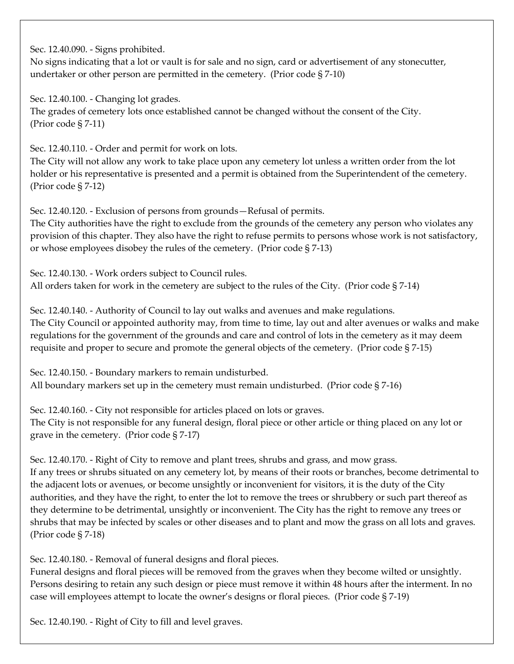Sec. 12.40.090. - Signs prohibited.

No signs indicating that a lot or vault is for sale and no sign, card or advertisement of any stonecutter, undertaker or other person are permitted in the cemetery. (Prior code § 7-10)

Sec. 12.40.100. - Changing lot grades. The grades of cemetery lots once established cannot be changed without the consent of the City. (Prior code § 7-11)

Sec. 12.40.110. - Order and permit for work on lots.

The City will not allow any work to take place upon any cemetery lot unless a written order from the lot holder or his representative is presented and a permit is obtained from the Superintendent of the cemetery. (Prior code § 7-12)

Sec. 12.40.120. - Exclusion of persons from grounds—Refusal of permits.

The City authorities have the right to exclude from the grounds of the cemetery any person who violates any provision of this chapter. They also have the right to refuse permits to persons whose work is not satisfactory, or whose employees disobey the rules of the cemetery. (Prior code § 7-13)

Sec. 12.40.130. - Work orders subject to Council rules. All orders taken for work in the cemetery are subject to the rules of the City. (Prior code § 7-14)

Sec. 12.40.140. - Authority of Council to lay out walks and avenues and make regulations. The City Council or appointed authority may, from time to time, lay out and alter avenues or walks and make regulations for the government of the grounds and care and control of lots in the cemetery as it may deem requisite and proper to secure and promote the general objects of the cemetery. (Prior code § 7-15)

Sec. 12.40.150. - Boundary markers to remain undisturbed. All boundary markers set up in the cemetery must remain undisturbed. (Prior code § 7-16)

Sec. 12.40.160. - City not responsible for articles placed on lots or graves. The City is not responsible for any funeral design, floral piece or other article or thing placed on any lot or grave in the cemetery. (Prior code § 7-17)

Sec. 12.40.170. - Right of City to remove and plant trees, shrubs and grass, and mow grass. If any trees or shrubs situated on any cemetery lot, by means of their roots or branches, become detrimental to the adjacent lots or avenues, or become unsightly or inconvenient for visitors, it is the duty of the City authorities, and they have the right, to enter the lot to remove the trees or shrubbery or such part thereof as they determine to be detrimental, unsightly or inconvenient. The City has the right to remove any trees or shrubs that may be infected by scales or other diseases and to plant and mow the grass on all lots and graves. (Prior code § 7-18)

Sec. 12.40.180. - Removal of funeral designs and floral pieces.

Funeral designs and floral pieces will be removed from the graves when they become wilted or unsightly. Persons desiring to retain any such design or piece must remove it within 48 hours after the interment. In no case will employees attempt to locate the owner's designs or floral pieces. (Prior code § 7-19)

Sec. 12.40.190. - Right of City to fill and level graves.